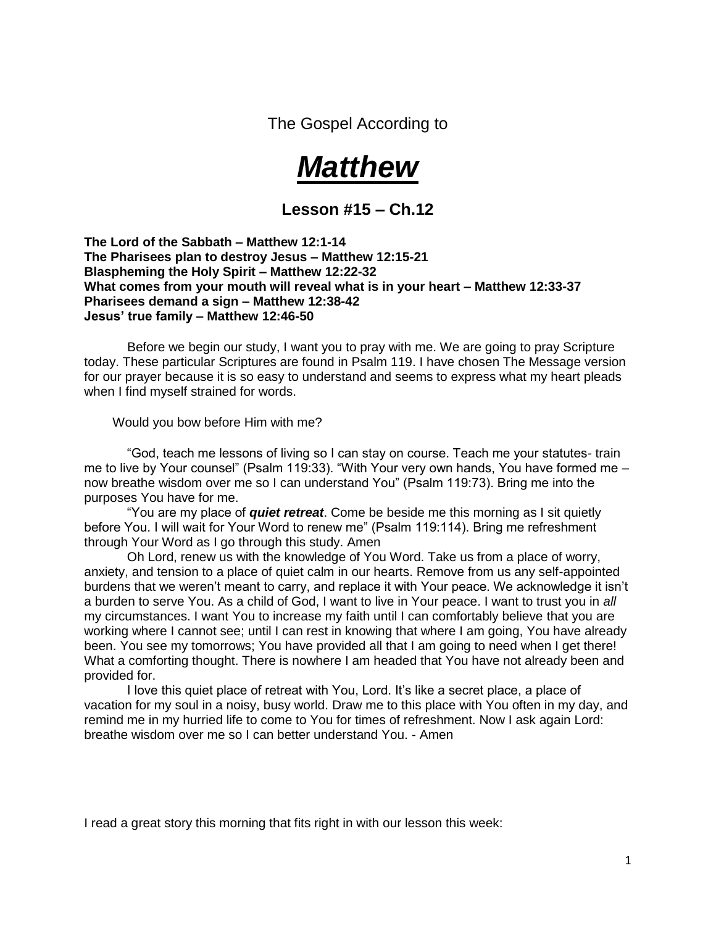The Gospel According to



**Lesson #15 – Ch.12**

**The Lord of the Sabbath – Matthew 12:1-14 The Pharisees plan to destroy Jesus – Matthew 12:15-21 Blaspheming the Holy Spirit – Matthew 12:22-32 What comes from your mouth will reveal what is in your heart – Matthew 12:33-37 Pharisees demand a sign – Matthew 12:38-42 Jesus' true family – Matthew 12:46-50**

 Before we begin our study, I want you to pray with me. We are going to pray Scripture today. These particular Scriptures are found in Psalm 119. I have chosen The Message version for our prayer because it is so easy to understand and seems to express what my heart pleads when I find myself strained for words.

Would you bow before Him with me?

 "God, teach me lessons of living so I can stay on course. Teach me your statutes- train me to live by Your counsel" (Psalm 119:33). "With Your very own hands, You have formed me – now breathe wisdom over me so I can understand You" (Psalm 119:73). Bring me into the purposes You have for me.

 "You are my place of *quiet retreat*. Come be beside me this morning as I sit quietly before You. I will wait for Your Word to renew me" (Psalm 119:114). Bring me refreshment through Your Word as I go through this study. Amen

 Oh Lord, renew us with the knowledge of You Word. Take us from a place of worry, anxiety, and tension to a place of quiet calm in our hearts. Remove from us any self-appointed burdens that we weren't meant to carry, and replace it with Your peace. We acknowledge it isn't a burden to serve You. As a child of God, I want to live in Your peace. I want to trust you in *all* my circumstances. I want You to increase my faith until I can comfortably believe that you are working where I cannot see; until I can rest in knowing that where I am going, You have already been. You see my tomorrows; You have provided all that I am going to need when I get there! What a comforting thought. There is nowhere I am headed that You have not already been and provided for.

 I love this quiet place of retreat with You, Lord. It's like a secret place, a place of vacation for my soul in a noisy, busy world. Draw me to this place with You often in my day, and remind me in my hurried life to come to You for times of refreshment. Now I ask again Lord: breathe wisdom over me so I can better understand You. - Amen

I read a great story this morning that fits right in with our lesson this week: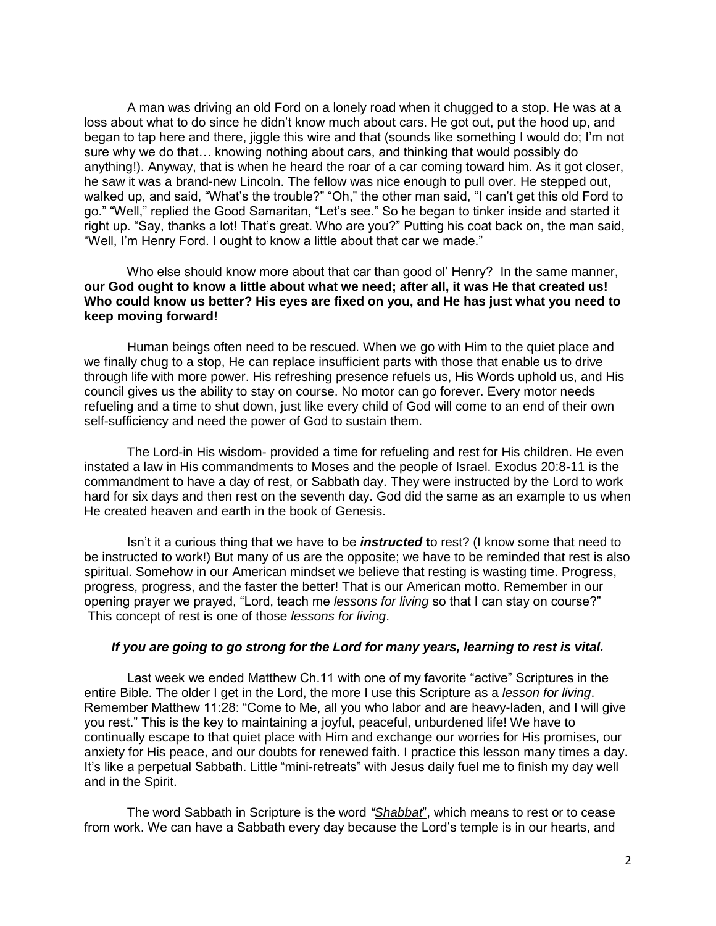A man was driving an old Ford on a lonely road when it chugged to a stop. He was at a loss about what to do since he didn't know much about cars. He got out, put the hood up, and began to tap here and there, jiggle this wire and that (sounds like something I would do; I'm not sure why we do that… knowing nothing about cars, and thinking that would possibly do anything!). Anyway, that is when he heard the roar of a car coming toward him. As it got closer, he saw it was a brand-new Lincoln. The fellow was nice enough to pull over. He stepped out, walked up, and said, "What's the trouble?" "Oh," the other man said, "I can't get this old Ford to go." "Well," replied the Good Samaritan, "Let's see." So he began to tinker inside and started it right up. "Say, thanks a lot! That's great. Who are you?" Putting his coat back on, the man said, "Well, I'm Henry Ford. I ought to know a little about that car we made."

 Who else should know more about that car than good ol' Henry? In the same manner, **our God ought to know a little about what we need; after all, it was He that created us! Who could know us better? His eyes are fixed on you, and He has just what you need to keep moving forward!**

 Human beings often need to be rescued. When we go with Him to the quiet place and we finally chug to a stop, He can replace insufficient parts with those that enable us to drive through life with more power. His refreshing presence refuels us, His Words uphold us, and His council gives us the ability to stay on course. No motor can go forever. Every motor needs refueling and a time to shut down, just like every child of God will come to an end of their own self-sufficiency and need the power of God to sustain them.

 The Lord-in His wisdom- provided a time for refueling and rest for His children. He even instated a law in His commandments to Moses and the people of Israel. Exodus 20:8-11 is the commandment to have a day of rest, or Sabbath day. They were instructed by the Lord to work hard for six days and then rest on the seventh day. God did the same as an example to us when He created heaven and earth in the book of Genesis.

 Isn't it a curious thing that we have to be *instructed* **t**o rest? (I know some that need to be instructed to work!) But many of us are the opposite; we have to be reminded that rest is also spiritual. Somehow in our American mindset we believe that resting is wasting time. Progress, progress, progress, and the faster the better! That is our American motto. Remember in our opening prayer we prayed, "Lord, teach me *lessons for living* so that I can stay on course?" This concept of rest is one of those *lessons for living*.

#### *If you are going to go strong for the Lord for many years, learning to rest is vital.*

 Last week we ended Matthew Ch.11 with one of my favorite "active" Scriptures in the entire Bible. The older I get in the Lord, the more I use this Scripture as a *lesson for living*. Remember Matthew 11:28: "Come to Me, all you who labor and are heavy-laden, and I will give you rest." This is the key to maintaining a joyful, peaceful, unburdened life! We have to continually escape to that quiet place with Him and exchange our worries for His promises, our anxiety for His peace, and our doubts for renewed faith. I practice this lesson many times a day. It's like a perpetual Sabbath. Little "mini-retreats" with Jesus daily fuel me to finish my day well and in the Spirit.

 The word Sabbath in Scripture is the word *"Shabbat*", which means to rest or to cease from work. We can have a Sabbath every day because the Lord's temple is in our hearts, and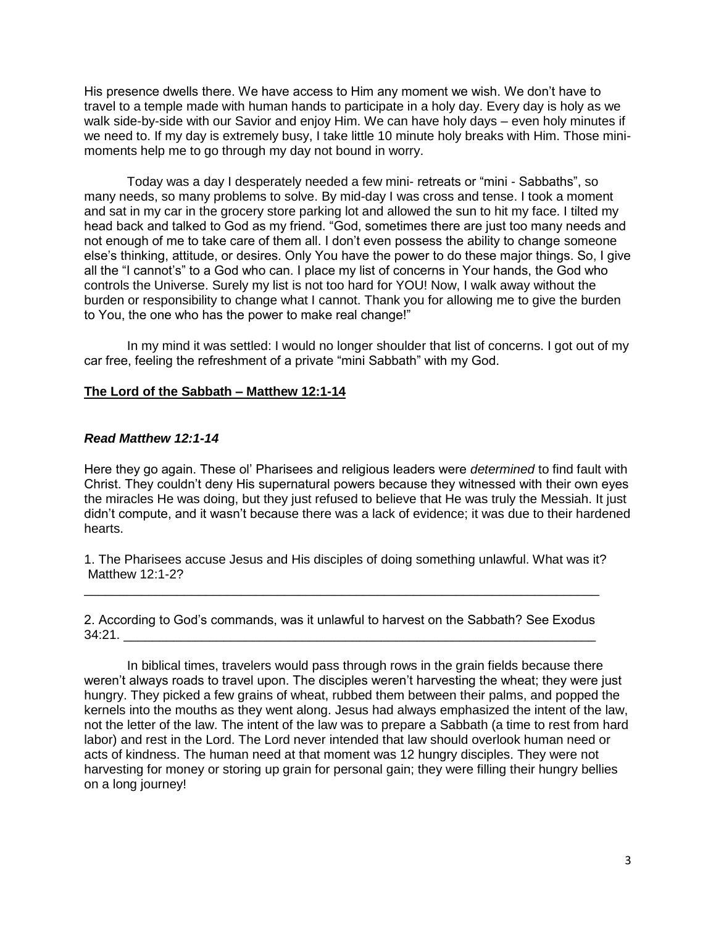His presence dwells there. We have access to Him any moment we wish. We don't have to travel to a temple made with human hands to participate in a holy day. Every day is holy as we walk side-by-side with our Savior and enjoy Him. We can have holy days – even holy minutes if we need to. If my day is extremely busy, I take little 10 minute holy breaks with Him. Those minimoments help me to go through my day not bound in worry.

 Today was a day I desperately needed a few mini- retreats or "mini - Sabbaths", so many needs, so many problems to solve. By mid-day I was cross and tense. I took a moment and sat in my car in the grocery store parking lot and allowed the sun to hit my face. I tilted my head back and talked to God as my friend. "God, sometimes there are just too many needs and not enough of me to take care of them all. I don't even possess the ability to change someone else's thinking, attitude, or desires. Only You have the power to do these major things. So, I give all the "I cannot's" to a God who can. I place my list of concerns in Your hands, the God who controls the Universe. Surely my list is not too hard for YOU! Now, I walk away without the burden or responsibility to change what I cannot. Thank you for allowing me to give the burden to You, the one who has the power to make real change!"

 In my mind it was settled: I would no longer shoulder that list of concerns. I got out of my car free, feeling the refreshment of a private "mini Sabbath" with my God.

## **The Lord of the Sabbath – Matthew 12:1-14**

#### *Read Matthew 12:1-14*

Here they go again. These ol' Pharisees and religious leaders were *determined* to find fault with Christ. They couldn't deny His supernatural powers because they witnessed with their own eyes the miracles He was doing, but they just refused to believe that He was truly the Messiah. It just didn't compute, and it wasn't because there was a lack of evidence; it was due to their hardened hearts.

1. The Pharisees accuse Jesus and His disciples of doing something unlawful. What was it? Matthew 12:1-2?

2. According to God's commands, was it unlawful to harvest on the Sabbath? See Exodus  $34:21.$ 

\_\_\_\_\_\_\_\_\_\_\_\_\_\_\_\_\_\_\_\_\_\_\_\_\_\_\_\_\_\_\_\_\_\_\_\_\_\_\_\_\_\_\_\_\_\_\_\_\_\_\_\_\_\_\_\_\_\_\_\_\_\_\_\_\_\_\_\_\_\_\_\_

 In biblical times, travelers would pass through rows in the grain fields because there weren't always roads to travel upon. The disciples weren't harvesting the wheat; they were just hungry. They picked a few grains of wheat, rubbed them between their palms, and popped the kernels into the mouths as they went along. Jesus had always emphasized the intent of the law, not the letter of the law. The intent of the law was to prepare a Sabbath (a time to rest from hard labor) and rest in the Lord. The Lord never intended that law should overlook human need or acts of kindness. The human need at that moment was 12 hungry disciples. They were not harvesting for money or storing up grain for personal gain; they were filling their hungry bellies on a long journey!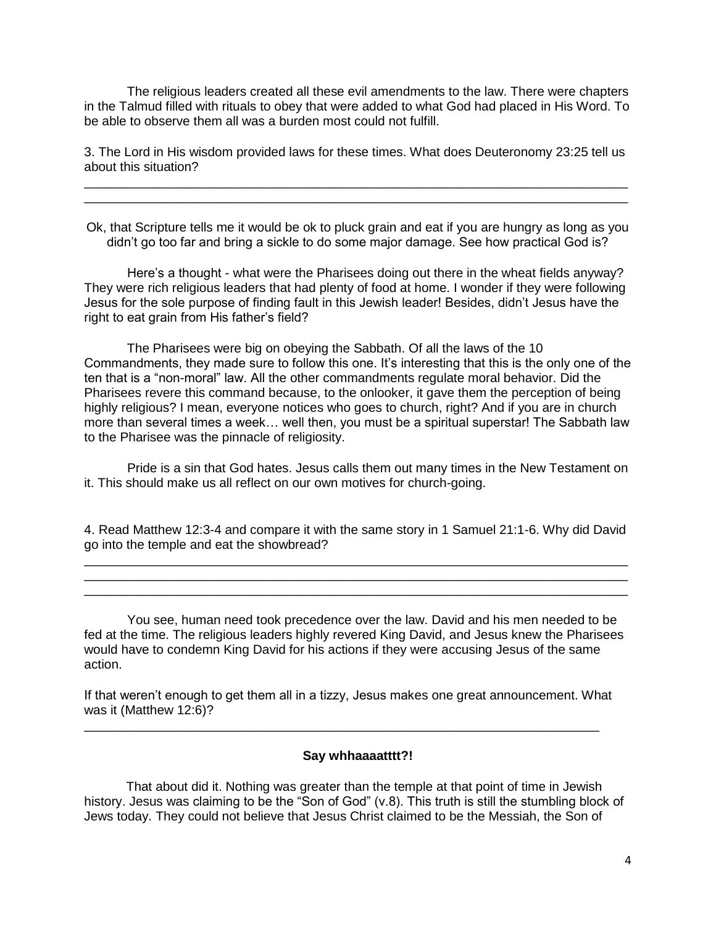The religious leaders created all these evil amendments to the law. There were chapters in the Talmud filled with rituals to obey that were added to what God had placed in His Word. To be able to observe them all was a burden most could not fulfill.

3. The Lord in His wisdom provided laws for these times. What does Deuteronomy 23:25 tell us about this situation? \_\_\_\_\_\_\_\_\_\_\_\_\_\_\_\_\_\_\_\_\_\_\_\_\_\_\_\_\_\_\_\_\_\_\_\_\_\_\_\_\_\_\_\_\_\_\_\_\_\_\_\_\_\_\_\_\_\_\_\_\_\_\_\_\_\_\_\_\_\_\_\_\_\_\_\_

\_\_\_\_\_\_\_\_\_\_\_\_\_\_\_\_\_\_\_\_\_\_\_\_\_\_\_\_\_\_\_\_\_\_\_\_\_\_\_\_\_\_\_\_\_\_\_\_\_\_\_\_\_\_\_\_\_\_\_\_\_\_\_\_\_\_\_\_\_\_\_\_\_\_\_\_

Ok, that Scripture tells me it would be ok to pluck grain and eat if you are hungry as long as you didn't go too far and bring a sickle to do some major damage. See how practical God is?

 Here's a thought - what were the Pharisees doing out there in the wheat fields anyway? They were rich religious leaders that had plenty of food at home. I wonder if they were following Jesus for the sole purpose of finding fault in this Jewish leader! Besides, didn't Jesus have the right to eat grain from His father's field?

 The Pharisees were big on obeying the Sabbath. Of all the laws of the 10 Commandments, they made sure to follow this one. It's interesting that this is the only one of the ten that is a "non-moral" law. All the other commandments regulate moral behavior. Did the Pharisees revere this command because, to the onlooker, it gave them the perception of being highly religious? I mean, everyone notices who goes to church, right? And if you are in church more than several times a week… well then, you must be a spiritual superstar! The Sabbath law to the Pharisee was the pinnacle of religiosity.

 Pride is a sin that God hates. Jesus calls them out many times in the New Testament on it. This should make us all reflect on our own motives for church-going.

4. Read Matthew 12:3-4 and compare it with the same story in 1 Samuel 21:1-6. Why did David go into the temple and eat the showbread? \_\_\_\_\_\_\_\_\_\_\_\_\_\_\_\_\_\_\_\_\_\_\_\_\_\_\_\_\_\_\_\_\_\_\_\_\_\_\_\_\_\_\_\_\_\_\_\_\_\_\_\_\_\_\_\_\_\_\_\_\_\_\_\_\_\_\_\_\_\_\_\_\_\_\_\_

\_\_\_\_\_\_\_\_\_\_\_\_\_\_\_\_\_\_\_\_\_\_\_\_\_\_\_\_\_\_\_\_\_\_\_\_\_\_\_\_\_\_\_\_\_\_\_\_\_\_\_\_\_\_\_\_\_\_\_\_\_\_\_\_\_\_\_\_\_\_\_\_\_\_\_\_ \_\_\_\_\_\_\_\_\_\_\_\_\_\_\_\_\_\_\_\_\_\_\_\_\_\_\_\_\_\_\_\_\_\_\_\_\_\_\_\_\_\_\_\_\_\_\_\_\_\_\_\_\_\_\_\_\_\_\_\_\_\_\_\_\_\_\_\_\_\_\_\_\_\_\_\_

 You see, human need took precedence over the law. David and his men needed to be fed at the time. The religious leaders highly revered King David, and Jesus knew the Pharisees would have to condemn King David for his actions if they were accusing Jesus of the same action.

If that weren't enough to get them all in a tizzy, Jesus makes one great announcement. What was it (Matthew 12:6)?

\_\_\_\_\_\_\_\_\_\_\_\_\_\_\_\_\_\_\_\_\_\_\_\_\_\_\_\_\_\_\_\_\_\_\_\_\_\_\_\_\_\_\_\_\_\_\_\_\_\_\_\_\_\_\_\_\_\_\_\_\_\_\_\_\_\_\_\_\_\_\_\_

#### **Say whhaaaatttt?!**

That about did it. Nothing was greater than the temple at that point of time in Jewish history. Jesus was claiming to be the "Son of God" (v.8). This truth is still the stumbling block of Jews today. They could not believe that Jesus Christ claimed to be the Messiah, the Son of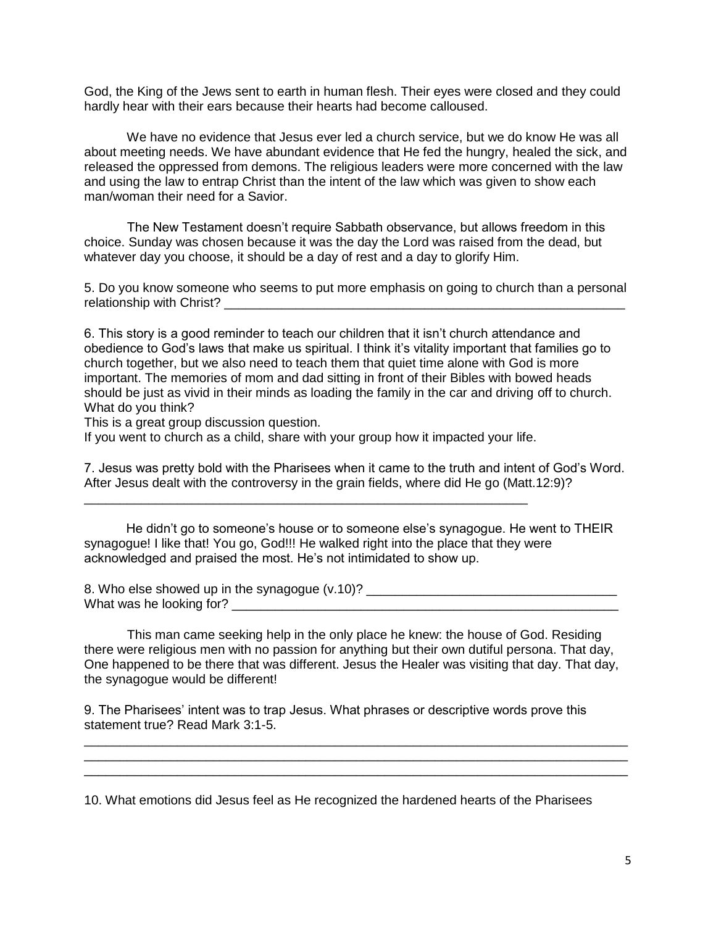God, the King of the Jews sent to earth in human flesh. Their eyes were closed and they could hardly hear with their ears because their hearts had become calloused.

 We have no evidence that Jesus ever led a church service, but we do know He was all about meeting needs. We have abundant evidence that He fed the hungry, healed the sick, and released the oppressed from demons. The religious leaders were more concerned with the law and using the law to entrap Christ than the intent of the law which was given to show each man/woman their need for a Savior.

 The New Testament doesn't require Sabbath observance, but allows freedom in this choice. Sunday was chosen because it was the day the Lord was raised from the dead, but whatever day you choose, it should be a day of rest and a day to glorify Him.

5. Do you know someone who seems to put more emphasis on going to church than a personal relationship with Christ?

6. This story is a good reminder to teach our children that it isn't church attendance and obedience to God's laws that make us spiritual. I think it's vitality important that families go to church together, but we also need to teach them that quiet time alone with God is more important. The memories of mom and dad sitting in front of their Bibles with bowed heads should be just as vivid in their minds as loading the family in the car and driving off to church. What do you think?

This is a great group discussion question.

If you went to church as a child, share with your group how it impacted your life.

\_\_\_\_\_\_\_\_\_\_\_\_\_\_\_\_\_\_\_\_\_\_\_\_\_\_\_\_\_\_\_\_\_\_\_\_\_\_\_\_\_\_\_\_\_\_\_\_\_\_\_\_\_\_\_\_\_\_\_\_\_\_

7. Jesus was pretty bold with the Pharisees when it came to the truth and intent of God's Word. After Jesus dealt with the controversy in the grain fields, where did He go (Matt.12:9)?

He didn't go to someone's house or to someone else's synagogue. He went to THEIR synagogue! I like that! You go, God!!! He walked right into the place that they were acknowledged and praised the most. He's not intimidated to show up.

8. Who else showed up in the synagogue (v.10)? \_\_\_\_\_\_\_\_\_\_\_\_\_\_\_\_\_\_\_\_\_\_\_\_\_\_\_\_\_\_\_\_\_ What was he looking for?

 This man came seeking help in the only place he knew: the house of God. Residing there were religious men with no passion for anything but their own dutiful persona. That day, One happened to be there that was different. Jesus the Healer was visiting that day. That day, the synagogue would be different!

\_\_\_\_\_\_\_\_\_\_\_\_\_\_\_\_\_\_\_\_\_\_\_\_\_\_\_\_\_\_\_\_\_\_\_\_\_\_\_\_\_\_\_\_\_\_\_\_\_\_\_\_\_\_\_\_\_\_\_\_\_\_\_\_\_\_\_\_\_\_\_\_\_\_\_\_ \_\_\_\_\_\_\_\_\_\_\_\_\_\_\_\_\_\_\_\_\_\_\_\_\_\_\_\_\_\_\_\_\_\_\_\_\_\_\_\_\_\_\_\_\_\_\_\_\_\_\_\_\_\_\_\_\_\_\_\_\_\_\_\_\_\_\_\_\_\_\_\_\_\_\_\_ \_\_\_\_\_\_\_\_\_\_\_\_\_\_\_\_\_\_\_\_\_\_\_\_\_\_\_\_\_\_\_\_\_\_\_\_\_\_\_\_\_\_\_\_\_\_\_\_\_\_\_\_\_\_\_\_\_\_\_\_\_\_\_\_\_\_\_\_\_\_\_\_\_\_\_\_

9. The Pharisees' intent was to trap Jesus. What phrases or descriptive words prove this statement true? Read Mark 3:1-5.

10. What emotions did Jesus feel as He recognized the hardened hearts of the Pharisees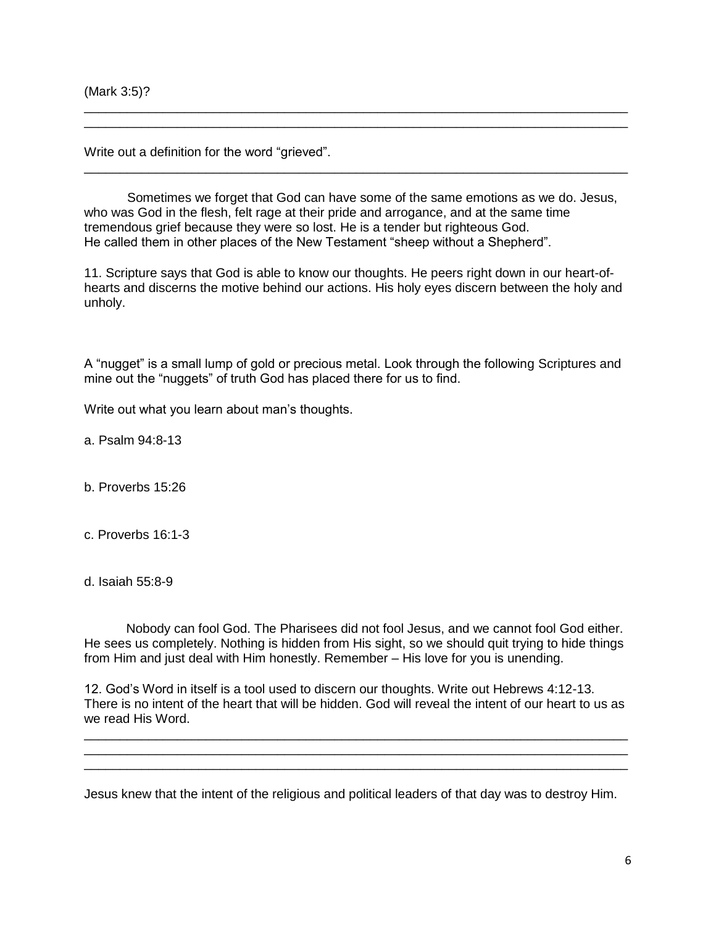(Mark 3:5)?

Write out a definition for the word "grieved".

 Sometimes we forget that God can have some of the same emotions as we do. Jesus, who was God in the flesh, felt rage at their pride and arrogance, and at the same time tremendous grief because they were so lost. He is a tender but righteous God. He called them in other places of the New Testament "sheep without a Shepherd".

\_\_\_\_\_\_\_\_\_\_\_\_\_\_\_\_\_\_\_\_\_\_\_\_\_\_\_\_\_\_\_\_\_\_\_\_\_\_\_\_\_\_\_\_\_\_\_\_\_\_\_\_\_\_\_\_\_\_\_\_\_\_\_\_\_\_\_\_\_\_\_\_\_\_\_\_ \_\_\_\_\_\_\_\_\_\_\_\_\_\_\_\_\_\_\_\_\_\_\_\_\_\_\_\_\_\_\_\_\_\_\_\_\_\_\_\_\_\_\_\_\_\_\_\_\_\_\_\_\_\_\_\_\_\_\_\_\_\_\_\_\_\_\_\_\_\_\_\_\_\_\_\_

\_\_\_\_\_\_\_\_\_\_\_\_\_\_\_\_\_\_\_\_\_\_\_\_\_\_\_\_\_\_\_\_\_\_\_\_\_\_\_\_\_\_\_\_\_\_\_\_\_\_\_\_\_\_\_\_\_\_\_\_\_\_\_\_\_\_\_\_\_\_\_\_\_\_\_\_

11. Scripture says that God is able to know our thoughts. He peers right down in our heart-ofhearts and discerns the motive behind our actions. His holy eyes discern between the holy and unholy.

A "nugget" is a small lump of gold or precious metal. Look through the following Scriptures and mine out the "nuggets" of truth God has placed there for us to find.

Write out what you learn about man's thoughts.

a. Psalm 94:8-13

b. Proverbs 15:26

c. Proverbs 16:1-3

d. Isaiah 55:8-9

Nobody can fool God. The Pharisees did not fool Jesus, and we cannot fool God either. He sees us completely. Nothing is hidden from His sight, so we should quit trying to hide things from Him and just deal with Him honestly. Remember – His love for you is unending.

12. God's Word in itself is a tool used to discern our thoughts. Write out Hebrews 4:12-13. There is no intent of the heart that will be hidden. God will reveal the intent of our heart to us as we read His Word.

\_\_\_\_\_\_\_\_\_\_\_\_\_\_\_\_\_\_\_\_\_\_\_\_\_\_\_\_\_\_\_\_\_\_\_\_\_\_\_\_\_\_\_\_\_\_\_\_\_\_\_\_\_\_\_\_\_\_\_\_\_\_\_\_\_\_\_\_\_\_\_\_\_\_\_\_ \_\_\_\_\_\_\_\_\_\_\_\_\_\_\_\_\_\_\_\_\_\_\_\_\_\_\_\_\_\_\_\_\_\_\_\_\_\_\_\_\_\_\_\_\_\_\_\_\_\_\_\_\_\_\_\_\_\_\_\_\_\_\_\_\_\_\_\_\_\_\_\_\_\_\_\_ \_\_\_\_\_\_\_\_\_\_\_\_\_\_\_\_\_\_\_\_\_\_\_\_\_\_\_\_\_\_\_\_\_\_\_\_\_\_\_\_\_\_\_\_\_\_\_\_\_\_\_\_\_\_\_\_\_\_\_\_\_\_\_\_\_\_\_\_\_\_\_\_\_\_\_\_

Jesus knew that the intent of the religious and political leaders of that day was to destroy Him.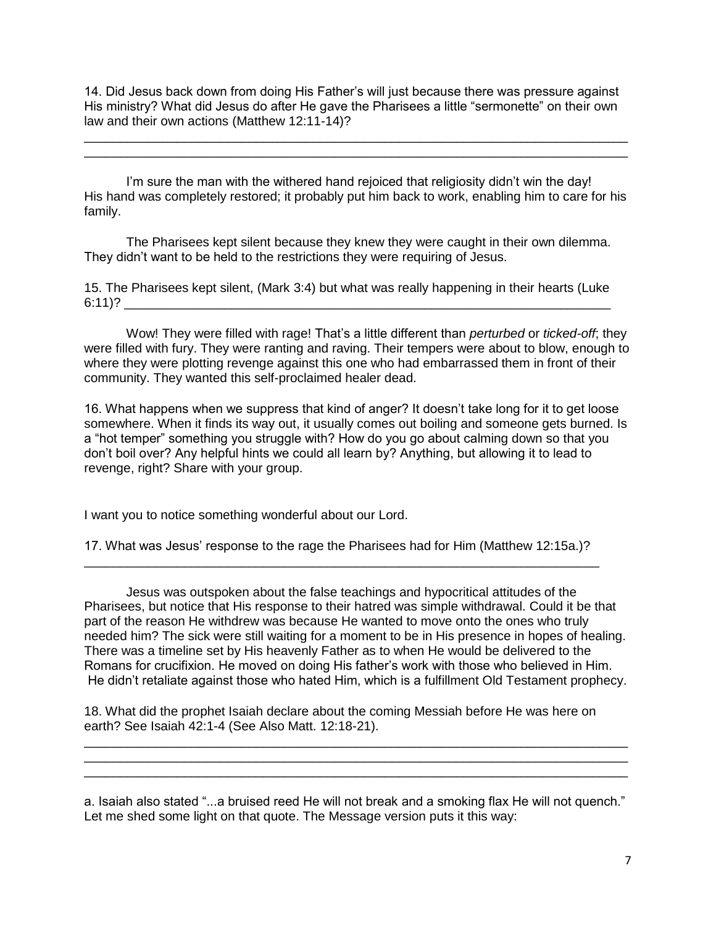14. Did Jesus back down from doing His Father's will just because there was pressure against His ministry? What did Jesus do after He gave the Pharisees a little "sermonette" on their own law and their own actions (Matthew 12:11-14)?

\_\_\_\_\_\_\_\_\_\_\_\_\_\_\_\_\_\_\_\_\_\_\_\_\_\_\_\_\_\_\_\_\_\_\_\_\_\_\_\_\_\_\_\_\_\_\_\_\_\_\_\_\_\_\_\_\_\_\_\_\_\_\_\_\_\_\_\_\_\_\_\_\_\_\_\_ \_\_\_\_\_\_\_\_\_\_\_\_\_\_\_\_\_\_\_\_\_\_\_\_\_\_\_\_\_\_\_\_\_\_\_\_\_\_\_\_\_\_\_\_\_\_\_\_\_\_\_\_\_\_\_\_\_\_\_\_\_\_\_\_\_\_\_\_\_\_\_\_\_\_\_\_

I'm sure the man with the withered hand rejoiced that religiosity didn't win the day! His hand was completely restored; it probably put him back to work, enabling him to care for his family.

The Pharisees kept silent because they knew they were caught in their own dilemma. They didn't want to be held to the restrictions they were requiring of Jesus.

15. The Pharisees kept silent, (Mark 3:4) but what was really happening in their hearts (Luke  $6:11$ )?

Wow! They were filled with rage! That's a little different than *perturbed* or *ticked-off*; they were filled with fury. They were ranting and raving. Their tempers were about to blow, enough to where they were plotting revenge against this one who had embarrassed them in front of their community. They wanted this self-proclaimed healer dead.

16. What happens when we suppress that kind of anger? It doesn't take long for it to get loose somewhere. When it finds its way out, it usually comes out boiling and someone gets burned. Is a "hot temper" something you struggle with? How do you go about calming down so that you don't boil over? Any helpful hints we could all learn by? Anything, but allowing it to lead to revenge, right? Share with your group.

I want you to notice something wonderful about our Lord.

17. What was Jesus' response to the rage the Pharisees had for Him (Matthew 12:15a.)? \_\_\_\_\_\_\_\_\_\_\_\_\_\_\_\_\_\_\_\_\_\_\_\_\_\_\_\_\_\_\_\_\_\_\_\_\_\_\_\_\_\_\_\_\_\_\_\_\_\_\_\_\_\_\_\_\_\_\_\_\_\_\_\_\_\_\_\_\_\_\_\_

Jesus was outspoken about the false teachings and hypocritical attitudes of the Pharisees, but notice that His response to their hatred was simple withdrawal. Could it be that part of the reason He withdrew was because He wanted to move onto the ones who truly needed him? The sick were still waiting for a moment to be in His presence in hopes of healing. There was a timeline set by His heavenly Father as to when He would be delivered to the Romans for crucifixion. He moved on doing His father's work with those who believed in Him. He didn't retaliate against those who hated Him, which is a fulfillment Old Testament prophecy.

18. What did the prophet Isaiah declare about the coming Messiah before He was here on earth? See Isaiah 42:1-4 (See Also Matt. 12:18-21).

a. Isaiah also stated "...a bruised reed He will not break and a smoking flax He will not quench." Let me shed some light on that quote. The Message version puts it this way:

\_\_\_\_\_\_\_\_\_\_\_\_\_\_\_\_\_\_\_\_\_\_\_\_\_\_\_\_\_\_\_\_\_\_\_\_\_\_\_\_\_\_\_\_\_\_\_\_\_\_\_\_\_\_\_\_\_\_\_\_\_\_\_\_\_\_\_\_\_\_\_\_\_\_\_\_ \_\_\_\_\_\_\_\_\_\_\_\_\_\_\_\_\_\_\_\_\_\_\_\_\_\_\_\_\_\_\_\_\_\_\_\_\_\_\_\_\_\_\_\_\_\_\_\_\_\_\_\_\_\_\_\_\_\_\_\_\_\_\_\_\_\_\_\_\_\_\_\_\_\_\_\_ \_\_\_\_\_\_\_\_\_\_\_\_\_\_\_\_\_\_\_\_\_\_\_\_\_\_\_\_\_\_\_\_\_\_\_\_\_\_\_\_\_\_\_\_\_\_\_\_\_\_\_\_\_\_\_\_\_\_\_\_\_\_\_\_\_\_\_\_\_\_\_\_\_\_\_\_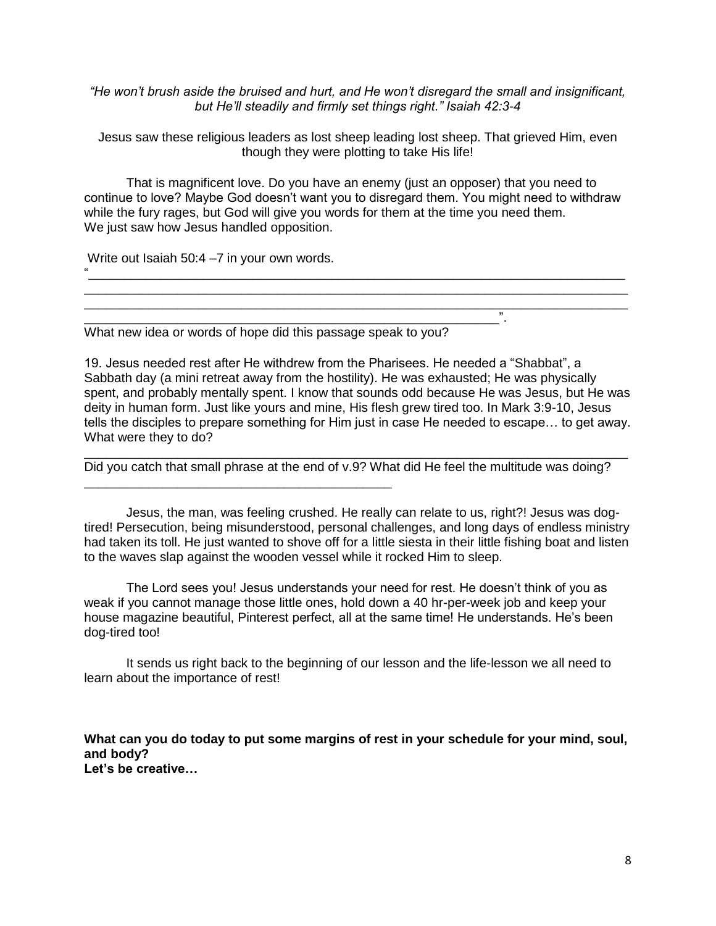*"He won't brush aside the bruised and hurt, and He won't disregard the small and insignificant, but He'll steadily and firmly set things right." Isaiah 42:3-4*

Jesus saw these religious leaders as lost sheep leading lost sheep. That grieved Him, even though they were plotting to take His life!

That is magnificent love. Do you have an enemy (just an opposer) that you need to continue to love? Maybe God doesn't want you to disregard them. You might need to withdraw while the fury rages, but God will give you words for them at the time you need them. We just saw how Jesus handled opposition.

 $''$ \_\_\_\_\_\_\_\_\_\_\_\_\_\_\_\_\_\_\_\_\_\_\_\_\_\_\_\_\_\_\_\_\_\_\_\_\_\_\_\_\_\_\_\_\_\_\_\_\_\_\_\_\_\_\_\_\_\_\_\_\_\_\_\_\_\_\_\_\_\_\_\_\_\_\_\_ \_\_\_\_\_\_\_\_\_\_\_\_\_\_\_\_\_\_\_\_\_\_\_\_\_\_\_\_\_\_\_\_\_\_\_\_\_\_\_\_\_\_\_\_\_\_\_\_\_\_\_\_\_\_\_\_\_\_\_\_\_\_\_\_\_\_\_\_\_\_\_\_\_\_\_\_

Write out Isaiah 50:4 –7 in your own words.

What new idea or words of hope did this passage speak to you?

\_\_\_\_\_\_\_\_\_\_\_\_\_\_\_\_\_\_\_\_\_\_\_\_\_\_\_\_\_\_\_\_\_\_\_\_\_\_\_\_\_\_\_

\_\_\_\_\_\_\_\_\_\_\_\_\_\_\_\_\_\_\_\_\_\_\_\_\_\_\_\_\_\_\_\_\_\_\_\_\_\_\_\_\_\_\_\_\_\_\_\_\_\_\_\_\_\_\_\_\_\_".

19. Jesus needed rest after He withdrew from the Pharisees. He needed a "Shabbat", a Sabbath day (a mini retreat away from the hostility). He was exhausted; He was physically spent, and probably mentally spent. I know that sounds odd because He was Jesus, but He was deity in human form. Just like yours and mine, His flesh grew tired too. In Mark 3:9-10, Jesus tells the disciples to prepare something for Him just in case He needed to escape… to get away. What were they to do?

\_\_\_\_\_\_\_\_\_\_\_\_\_\_\_\_\_\_\_\_\_\_\_\_\_\_\_\_\_\_\_\_\_\_\_\_\_\_\_\_\_\_\_\_\_\_\_\_\_\_\_\_\_\_\_\_\_\_\_\_\_\_\_\_\_\_\_\_\_\_\_\_\_\_\_\_ Did you catch that small phrase at the end of v.9? What did He feel the multitude was doing?

Jesus, the man, was feeling crushed. He really can relate to us, right?! Jesus was dogtired! Persecution, being misunderstood, personal challenges, and long days of endless ministry had taken its toll. He just wanted to shove off for a little siesta in their little fishing boat and listen to the waves slap against the wooden vessel while it rocked Him to sleep.

The Lord sees you! Jesus understands your need for rest. He doesn't think of you as weak if you cannot manage those little ones, hold down a 40 hr-per-week job and keep your house magazine beautiful, Pinterest perfect, all at the same time! He understands. He's been dog-tired too!

It sends us right back to the beginning of our lesson and the life-lesson we all need to learn about the importance of rest!

**What can you do today to put some margins of rest in your schedule for your mind, soul, and body? Let's be creative…**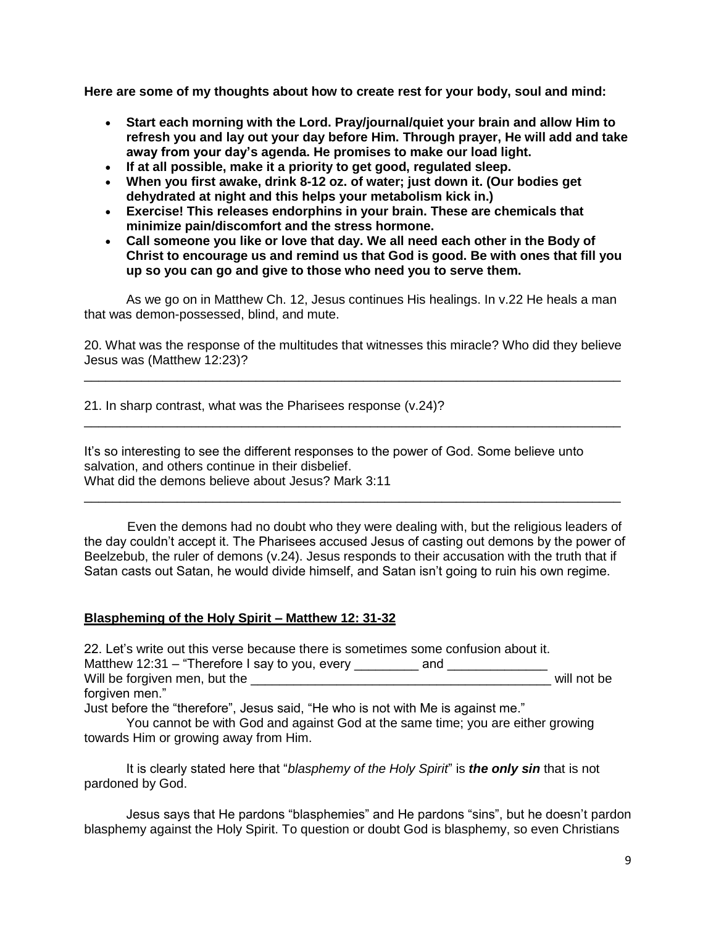**Here are some of my thoughts about how to create rest for your body, soul and mind:**

- **Start each morning with the Lord. Pray/journal/quiet your brain and allow Him to refresh you and lay out your day before Him. Through prayer, He will add and take away from your day's agenda. He promises to make our load light.**
- **If at all possible, make it a priority to get good, regulated sleep.**
- **When you first awake, drink 8-12 oz. of water; just down it. (Our bodies get dehydrated at night and this helps your metabolism kick in.)**
- **Exercise! This releases endorphins in your brain. These are chemicals that minimize pain/discomfort and the stress hormone.**
- **Call someone you like or love that day. We all need each other in the Body of Christ to encourage us and remind us that God is good. Be with ones that fill you up so you can go and give to those who need you to serve them.**

As we go on in Matthew Ch. 12, Jesus continues His healings. In v.22 He heals a man that was demon-possessed, blind, and mute.

20. What was the response of the multitudes that witnesses this miracle? Who did they believe Jesus was (Matthew 12:23)? \_\_\_\_\_\_\_\_\_\_\_\_\_\_\_\_\_\_\_\_\_\_\_\_\_\_\_\_\_\_\_\_\_\_\_\_\_\_\_\_\_\_\_\_\_\_\_\_\_\_\_\_\_\_\_\_\_\_\_\_\_\_\_\_\_\_\_\_\_\_\_\_\_\_\_

\_\_\_\_\_\_\_\_\_\_\_\_\_\_\_\_\_\_\_\_\_\_\_\_\_\_\_\_\_\_\_\_\_\_\_\_\_\_\_\_\_\_\_\_\_\_\_\_\_\_\_\_\_\_\_\_\_\_\_\_\_\_\_\_\_\_\_\_\_\_\_\_\_\_\_

21. In sharp contrast, what was the Pharisees response (v.24)?

It's so interesting to see the different responses to the power of God. Some believe unto salvation, and others continue in their disbelief. What did the demons believe about Jesus? Mark 3:11

 Even the demons had no doubt who they were dealing with, but the religious leaders of the day couldn't accept it. The Pharisees accused Jesus of casting out demons by the power of Beelzebub, the ruler of demons (v.24). Jesus responds to their accusation with the truth that if Satan casts out Satan, he would divide himself, and Satan isn't going to ruin his own regime.

\_\_\_\_\_\_\_\_\_\_\_\_\_\_\_\_\_\_\_\_\_\_\_\_\_\_\_\_\_\_\_\_\_\_\_\_\_\_\_\_\_\_\_\_\_\_\_\_\_\_\_\_\_\_\_\_\_\_\_\_\_\_\_\_\_\_\_\_\_\_\_\_\_\_\_

#### **Blaspheming of the Holy Spirit – Matthew 12: 31-32**

22. Let's write out this verse because there is sometimes some confusion about it. Matthew 12:31 – "Therefore I say to you, every \_\_\_\_\_\_\_\_\_\_ and \_\_\_\_\_\_\_\_\_\_\_\_\_\_\_\_\_\_\_\_\_\_\_ will not be Will be foraiven men. but the Will be forgiven men, but the \_\_\_\_\_\_\_\_\_\_\_\_\_\_\_\_\_\_\_\_\_\_\_\_\_\_\_\_\_\_\_\_\_\_\_\_\_\_\_\_\_\_ will not be forgiven men." Just before the "therefore", Jesus said, "He who is not with Me is against me."

You cannot be with God and against God at the same time; you are either growing towards Him or growing away from Him.

It is clearly stated here that "*blasphemy of the Holy Spirit*" is *the only sin* that is not pardoned by God.

Jesus says that He pardons "blasphemies" and He pardons "sins", but he doesn't pardon blasphemy against the Holy Spirit. To question or doubt God is blasphemy, so even Christians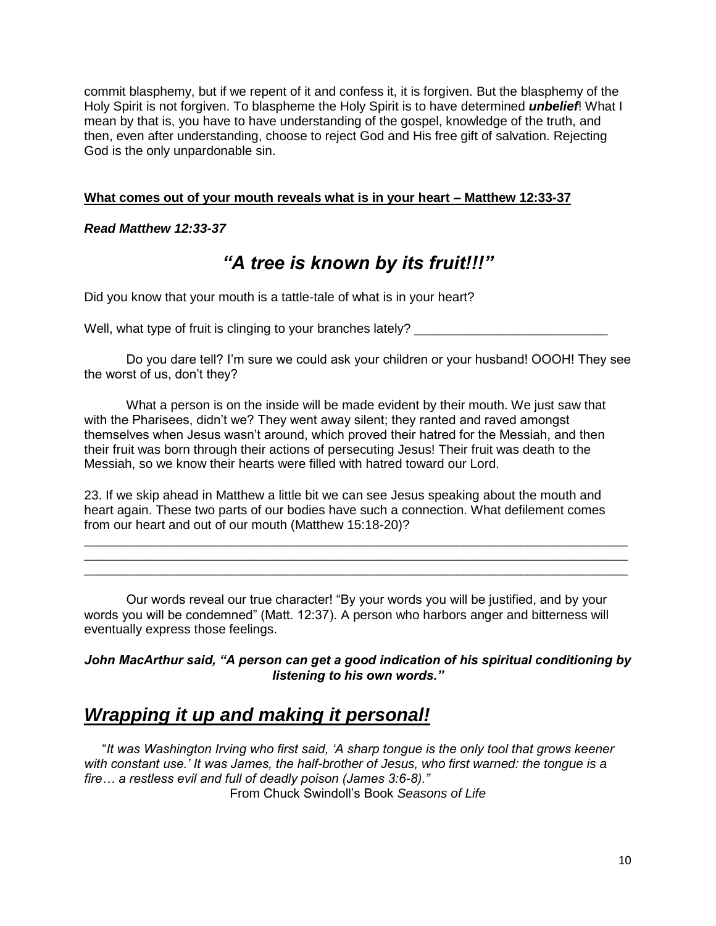commit blasphemy, but if we repent of it and confess it, it is forgiven. But the blasphemy of the Holy Spirit is not forgiven. To blaspheme the Holy Spirit is to have determined *unbelief*! What I mean by that is, you have to have understanding of the gospel, knowledge of the truth, and then, even after understanding, choose to reject God and His free gift of salvation. Rejecting God is the only unpardonable sin.

## **What comes out of your mouth reveals what is in your heart – Matthew 12:33-37**

## *Read Matthew 12:33-37*

# *"A tree is known by its fruit!!!"*

Did you know that your mouth is a tattle-tale of what is in your heart?

Well, what type of fruit is clinging to your branches lately? \_\_\_\_\_\_\_\_\_\_\_\_\_\_\_\_\_\_

Do you dare tell? I'm sure we could ask your children or your husband! OOOH! They see the worst of us, don't they?

What a person is on the inside will be made evident by their mouth. We just saw that with the Pharisees, didn't we? They went away silent; they ranted and raved amongst themselves when Jesus wasn't around, which proved their hatred for the Messiah, and then their fruit was born through their actions of persecuting Jesus! Their fruit was death to the Messiah, so we know their hearts were filled with hatred toward our Lord.

23. If we skip ahead in Matthew a little bit we can see Jesus speaking about the mouth and heart again. These two parts of our bodies have such a connection. What defilement comes from our heart and out of our mouth (Matthew 15:18-20)?

\_\_\_\_\_\_\_\_\_\_\_\_\_\_\_\_\_\_\_\_\_\_\_\_\_\_\_\_\_\_\_\_\_\_\_\_\_\_\_\_\_\_\_\_\_\_\_\_\_\_\_\_\_\_\_\_\_\_\_\_\_\_\_\_\_\_\_\_\_\_\_\_\_\_\_\_ \_\_\_\_\_\_\_\_\_\_\_\_\_\_\_\_\_\_\_\_\_\_\_\_\_\_\_\_\_\_\_\_\_\_\_\_\_\_\_\_\_\_\_\_\_\_\_\_\_\_\_\_\_\_\_\_\_\_\_\_\_\_\_\_\_\_\_\_\_\_\_\_\_\_\_\_ \_\_\_\_\_\_\_\_\_\_\_\_\_\_\_\_\_\_\_\_\_\_\_\_\_\_\_\_\_\_\_\_\_\_\_\_\_\_\_\_\_\_\_\_\_\_\_\_\_\_\_\_\_\_\_\_\_\_\_\_\_\_\_\_\_\_\_\_\_\_\_\_\_\_\_\_

Our words reveal our true character! "By your words you will be justified, and by your words you will be condemned" (Matt. 12:37). A person who harbors anger and bitterness will eventually express those feelings.

*John MacArthur said, "A person can get a good indication of his spiritual conditioning by listening to his own words."*

## *Wrapping it up and making it personal!*

 "*It was Washington Irving who first said, 'A sharp tongue is the only tool that grows keener with constant use.' It was James, the half-brother of Jesus, who first warned: the tongue is a fire… a restless evil and full of deadly poison (James 3:6-8)."* From Chuck Swindoll's Book *Seasons of Life*